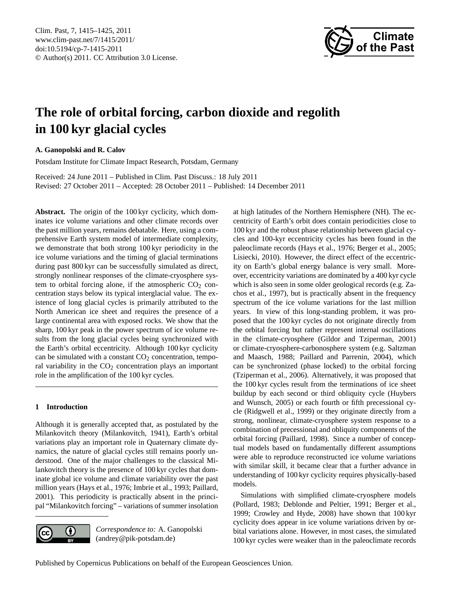<span id="page-0-0"></span>Clim. Past, 7, 1415–1425, 2011 www.clim-past.net/7/1415/2011/ doi:10.5194/cp-7-1415-2011 © Author(s) 2011. CC Attribution 3.0 License.



# **The role of orbital forcing, carbon dioxide and regolith in 100 kyr glacial cycles**

## **A. Ganopolski and R. Calov**

Potsdam Institute for Climate Impact Research, Potsdam, Germany

Received: 24 June 2011 – Published in Clim. Past Discuss.: 18 July 2011 Revised: 27 October 2011 – Accepted: 28 October 2011 – Published: 14 December 2011

**Abstract.** The origin of the 100 kyr cyclicity, which dominates ice volume variations and other climate records over the past million years, remains debatable. Here, using a comprehensive Earth system model of intermediate complexity, we demonstrate that both strong 100 kyr periodicity in the ice volume variations and the timing of glacial terminations during past 800 kyr can be successfully simulated as direct, strongly nonlinear responses of the climate-cryosphere system to orbital forcing alone, if the atmospheric  $CO<sub>2</sub>$  concentration stays below its typical interglacial value. The existence of long glacial cycles is primarily attributed to the North American ice sheet and requires the presence of a large continental area with exposed rocks. We show that the sharp, 100 kyr peak in the power spectrum of ice volume results from the long glacial cycles being synchronized with the Earth's orbital eccentricity. Although 100 kyr cyclicity can be simulated with a constant  $CO<sub>2</sub>$  concentration, temporal variability in the  $CO<sub>2</sub>$  concentration plays an important role in the amplification of the 100 kyr cycles.

## **1 Introduction**

Although it is generally accepted that, as postulated by the Milankovitch theory (Milankovitch, 1941), Earth's orbital variations play an important role in Quaternary climate dynamics, the nature of glacial cycles still remains poorly understood. One of the major challenges to the classical Milankovitch theory is the presence of 100 kyr cycles that dominate global ice volume and climate variability over the past million years (Hays et al., 1976; Imbrie et al., 1993; Paillard, 2001). This periodicity is practically absent in the principal "Milankovitch forcing" – variations of summer insolation



*Correspondence to:* A. Ganopolski (andrey@pik-potsdam.de)

at high latitudes of the Northern Hemisphere (NH). The eccentricity of Earth's orbit does contain periodicities close to 100 kyr and the robust phase relationship between glacial cycles and 100-kyr eccentricity cycles has been found in the paleoclimate records (Hays et al., 1976; Berger et al., 2005; Lisiecki, 2010). However, the direct effect of the eccentricity on Earth's global energy balance is very small. Moreover, eccentricity variations are dominated by a 400 kyr cycle which is also seen in some older geological records (e.g. Zachos et al., 1997), but is practically absent in the frequency spectrum of the ice volume variations for the last million years. In view of this long-standing problem, it was proposed that the 100 kyr cycles do not originate directly from the orbital forcing but rather represent internal oscillations in the climate-cryosphere (Gildor and Tziperman, 2001) or climate-cryosphere-carbonosphere system (e.g. Saltzman and Maasch, 1988; Paillard and Parrenin, 2004), which can be synchronized (phase locked) to the orbital forcing (Tziperman et al., 2006). Alternatively, it was proposed that the 100 kyr cycles result from the terminations of ice sheet buildup by each second or third obliquity cycle (Huybers and Wunsch, 2005) or each fourth or fifth precessional cycle (Ridgwell et al., 1999) or they originate directly from a strong, nonlinear, climate-cryosphere system response to a combination of precessional and obliquity components of the orbital forcing (Paillard, 1998). Since a number of conceptual models based on fundamentally different assumptions were able to reproduce reconstructed ice volume variations with similar skill, it became clear that a further advance in understanding of 100 kyr cyclicity requires physically-based models.

Simulations with simplified climate-cryosphere models (Pollard, 1983; Deblonde and Peltier, 1991; Berger et al., 1999; Crowley and Hyde, 2008) have shown that 100 kyr cyclicity does appear in ice volume variations driven by orbital variations alone. However, in most cases, the simulated 100 kyr cycles were weaker than in the paleoclimate records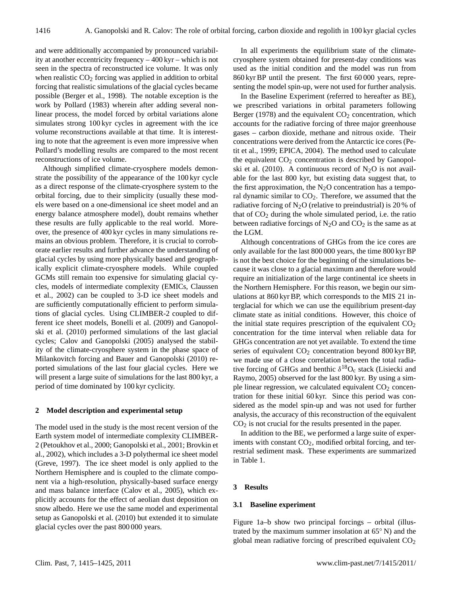and were additionally accompanied by pronounced variability at another eccentricity frequency – 400 kyr – which is not seen in the spectra of reconstructed ice volume. It was only when realistic  $CO<sub>2</sub>$  forcing was applied in addition to orbital forcing that realistic simulations of the glacial cycles became possible (Berger et al., 1998). The notable exception is the work by Pollard (1983) wherein after adding several nonlinear process, the model forced by orbital variations alone simulates strong 100 kyr cycles in agreement with the ice volume reconstructions available at that time. It is interesting to note that the agreement is even more impressive when Pollard's modelling results are compared to the most recent reconstructions of ice volume.

Although simplified climate-cryosphere models demonstrate the possibility of the appearance of the 100 kyr cycle as a direct response of the climate-cryosphere system to the orbital forcing, due to their simplicity (usually these models were based on a one-dimensional ice sheet model and an energy balance atmosphere model), doubt remains whether these results are fully applicable to the real world. Moreover, the presence of 400 kyr cycles in many simulations remains an obvious problem. Therefore, it is crucial to corroborate earlier results and further advance the understanding of glacial cycles by using more physically based and geographically explicit climate-cryosphere models. While coupled GCMs still remain too expensive for simulating glacial cycles, models of intermediate complexity (EMICs, Claussen et al., 2002) can be coupled to 3-D ice sheet models and are sufficiently computationally efficient to perform simulations of glacial cycles. Using CLIMBER-2 coupled to different ice sheet models, Bonelli et al. (2009) and Ganopolski et al. (2010) performed simulations of the last glacial cycles; Calov and Ganopolski (2005) analysed the stability of the climate-cryosphere system in the phase space of Milankovitch forcing and Bauer and Ganopolski (2010) reported simulations of the last four glacial cycles. Here we will present a large suite of simulations for the last 800 kyr, a period of time dominated by 100 kyr cyclicity.

#### **2 Model description and experimental setup**

The model used in the study is the most recent version of the Earth system model of intermediate complexity CLIMBER-2 (Petoukhov et al., 2000; Ganopolski et al., 2001; Brovkin et al., 2002), which includes a 3-D polythermal ice sheet model (Greve, 1997). The ice sheet model is only applied to the Northern Hemisphere and is coupled to the climate component via a high-resolution, physically-based surface energy and mass balance interface (Calov et al., 2005), which explicitly accounts for the effect of aeolian dust deposition on snow albedo. Here we use the same model and experimental setup as Ganopolski et al. (2010) but extended it to simulate glacial cycles over the past 800 000 years.

In all experiments the equilibrium state of the climatecryosphere system obtained for present-day conditions was used as the initial condition and the model was run from 860 kyr BP until the present. The first 60 000 years, representing the model spin-up, were not used for further analysis.

In the Baseline Experiment (referred to hereafter as BE), we prescribed variations in orbital parameters following Berger (1978) and the equivalent  $CO<sub>2</sub>$  concentration, which accounts for the radiative forcing of three major greenhouse gases – carbon dioxide, methane and nitrous oxide. Their concentrations were derived from the Antarctic ice cores (Petit et al., 1999; EPICA, 2004). The method used to calculate the equivalent  $CO<sub>2</sub>$  concentration is described by Ganopolski et al. (2010). A continuous record of  $N_2O$  is not available for the last 800 kyr, but existing data suggest that, to the first approximation, the  $N_2O$  concentration has a temporal dynamic similar to  $CO<sub>2</sub>$ . Therefore, we assumed that the radiative forcing of  $N_2O$  (relative to preindustrial) is 20 % of that of  $CO<sub>2</sub>$  during the whole simulated period, i.e. the ratio between radiative forcings of  $N_2O$  and  $CO_2$  is the same as at the LGM.

Although concentrations of GHGs from the ice cores are only available for the last 800 000 years, the time 800 kyr BP is not the best choice for the beginning of the simulations because it was close to a glacial maximum and therefore would require an initialization of the large continental ice sheets in the Northern Hemisphere. For this reason, we begin our simulations at 860 kyr BP, which corresponds to the MIS 21 interglacial for which we can use the equilibrium present-day climate state as initial conditions. However, this choice of the initial state requires prescription of the equivalent  $CO<sub>2</sub>$ concentration for the time interval when reliable data for GHGs concentration are not yet available. To extend the time series of equivalent CO<sub>2</sub> concentration beyond 800 kyr BP, we made use of a close correlation between the total radiative forcing of GHGs and benthic  $\delta^{18}O_c$  stack (Lisiecki and Raymo, 2005) observed for the last 800 kyr. By using a simple linear regression, we calculated equivalent  $CO<sub>2</sub>$  concentration for these initial 60 kyr. Since this period was considered as the model spin-up and was not used for further analysis, the accuracy of this reconstruction of the equivalent CO<sup>2</sup> is not crucial for the results presented in the paper.

In addition to the BE, we performed a large suite of experiments with constant  $CO<sub>2</sub>$ , modified orbital forcing, and terrestrial sediment mask. These experiments are summarized in Table 1.

#### **3 Results**

# **3.1 Baseline experiment**

Figure 1a–b show two principal forcings – orbital (illustrated by the maximum summer insolation at 65◦ N) and the global mean radiative forcing of prescribed equivalent  $CO<sub>2</sub>$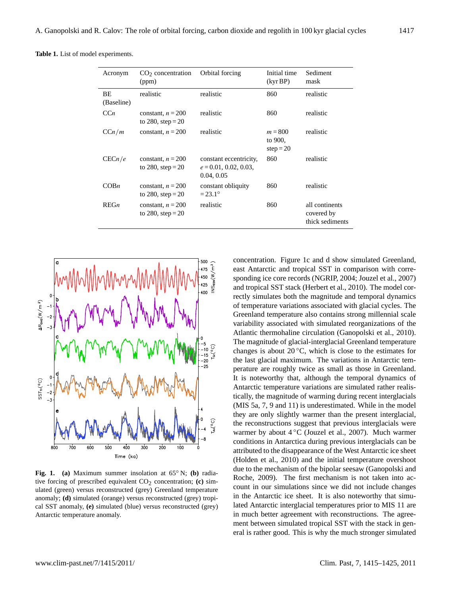**Table 1.** List of model experiments.

| Acronym                 | CO <sub>2</sub> concentration<br>(ppm)     | Orbital forcing                                                 | Initial time<br>(kyr BP)            | Sediment<br>mask                                |
|-------------------------|--------------------------------------------|-----------------------------------------------------------------|-------------------------------------|-------------------------------------------------|
| <b>BE</b><br>(Baseline) | realistic                                  | realistic                                                       | 860                                 | realistic                                       |
| CCn                     | constant, $n = 200$<br>to 280, step = $20$ | realistic                                                       | 860                                 | realistic                                       |
| C C n / m               | constant, $n = 200$                        | realistic                                                       | $m = 800$<br>to 900,<br>$step = 20$ | realistic                                       |
| CECn/e                  | constant, $n = 200$<br>to 280, step = $20$ | constant eccentricity,<br>$e = 0.01, 0.02, 0.03,$<br>0.04, 0.05 | 860                                 | realistic                                       |
| COBn                    | constant, $n = 200$<br>to 280, step = $20$ | constant obliquity<br>$= 23.1^{\circ}$                          | 860                                 | realistic                                       |
| REGn                    | constant, $n = 200$<br>to 280, step = $20$ | realistic                                                       | 860                                 | all continents<br>covered by<br>thick sediments |



**Fig. 1. (a)** Maximum summer insolation at 65◦ N; **(b)** radiative forcing of prescribed equivalent  $CO<sub>2</sub>$  concentration; **(c)** simulated (green) versus reconstructed (grey) Greenland temperature anomaly; **(d)** simulated (orange) versus reconstructed (grey) tropical SST anomaly, **(e)** simulated (blue) versus reconstructed (grey) Antarctic temperature anomaly.

concentration. Figure 1c and d show simulated Greenland, east Antarctic and tropical SST in comparison with corresponding ice core records (NGRIP, 2004; Jouzel et al., 2007) and tropical SST stack (Herbert et al., 2010). The model correctly simulates both the magnitude and temporal dynamics of temperature variations associated with glacial cycles. The Greenland temperature also contains strong millennial scale variability associated with simulated reorganizations of the Atlantic thermohaline circulation (Ganopolski et al., 2010). The magnitude of glacial-interglacial Greenland temperature changes is about  $20^{\circ}$ C, which is close to the estimates for the last glacial maximum. The variations in Antarctic temperature are roughly twice as small as those in Greenland. It is noteworthy that, although the temporal dynamics of Antarctic temperature variations are simulated rather realistically, the magnitude of warming during recent interglacials (MIS 5a, 7, 9 and 11) is underestimated. While in the model they are only slightly warmer than the present interglacial, the reconstructions suggest that previous interglacials were warmer by about 4 ◦C (Jouzel et al., 2007). Much warmer conditions in Antarctica during previous interglacials can be attributed to the disappearance of the West Antarctic ice sheet (Holden et al., 2010) and the initial temperature overshoot due to the mechanism of the bipolar seesaw (Ganopolski and Roche, 2009). The first mechanism is not taken into account in our simulations since we did not include changes in the Antarctic ice sheet. It is also noteworthy that simulated Antarctic interglacial temperatures prior to MIS 11 are in much better agreement with reconstructions. The agreement between simulated tropical SST with the stack in general is rather good. This is why the much stronger simulated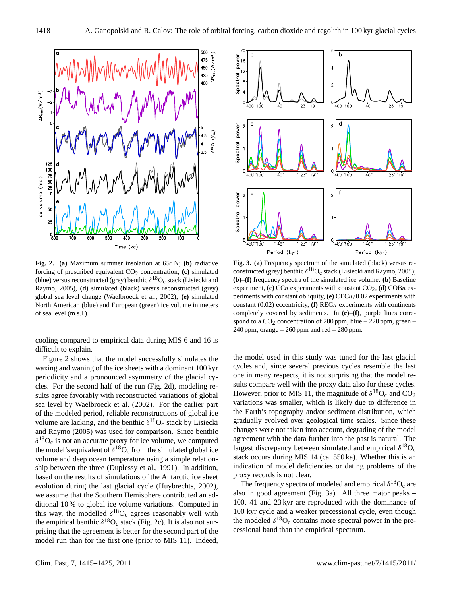

**Fig. 2. (a)** Maximum summer insolation at 65◦ N; **(b)** radiative forcing of prescribed equivalent  $CO<sub>2</sub>$  concentration; **(c)** simulated (blue) versus reconstructed (grey) benthic  $\delta^{18}O_c$  stack (Lisiecki and Raymo, 2005), **(d)** simulated (black) versus reconstructed (grey) global sea level change (Waelbroeck et al., 2002); **(e)** simulated North American (blue) and European (green) ice volume in meters of sea level (m.s.l.).

cooling compared to empirical data during MIS 6 and 16 is difficult to explain.

Figure 2 shows that the model successfully simulates the waxing and waning of the ice sheets with a dominant 100 kyr periodicity and a pronounced asymmetry of the glacial cycles. For the second half of the run (Fig. 2d), modeling results agree favorably with reconstructed variations of global sea level by Waelbroeck et al. (2002). For the earlier part of the modeled period, reliable reconstructions of global ice volume are lacking, and the benthic  $\delta^{18}O_c$  stack by Lisiecki and Raymo (2005) was used for comparison. Since benthic  $\delta^{18}O_c$  is not an accurate proxy for ice volume, we computed the model's equivalent of  $\delta^{18}O_c$  from the simulated global ice volume and deep ocean temperature using a simple relationship between the three (Duplessy et al., 1991). In addition, based on the results of simulations of the Antarctic ice sheet evolution during the last glacial cycle (Huybrechts, 2002), we assume that the Southern Hemisphere contributed an additional 10 % to global ice volume variations. Computed in this way, the modelled  $\delta^{18}O_c$  agrees reasonably well with the empirical benthic  $\delta^{18}O_c$  stack (Fig. 2c). It is also not surprising that the agreement is better for the second part of the model run than for the first one (prior to MIS 11). Indeed,



**Fig. 3. (a)** Frequency spectrum of the simulated (black) versus reconstructed (grey) benthic  $\delta^{18}O_c$  stack (Lisiecki and Raymo, 2005); **(b)**–**(f)** frequency spectra of the simulated ice volume: **(b)** Baseline experiment, **(c)** CCn experiments with constant  $CO_2$ , **(d)** COBn experiments with constant obliquity, **(e)** CECn/0.02 experiments with constant (0.02) eccentricity, **(f)** REGn experiments with continents completely covered by sediments. In **(c)**–**(f)**, purple lines correspond to a  $CO<sub>2</sub>$  concentration of 200 ppm, blue – 220 ppm, green – 240 ppm, orange  $-260$  ppm and red  $-280$  ppm.

the model used in this study was tuned for the last glacial cycles and, since several previous cycles resemble the last one in many respects, it is not surprising that the model results compare well with the proxy data also for these cycles. However, prior to MIS 11, the magnitude of  $\delta^{18}O_c$  and CO<sub>2</sub> variations was smaller, which is likely due to difference in the Earth's topography and/or sediment distribution, which gradually evolved over geological time scales. Since these changes were not taken into account, degrading of the model agreement with the data further into the past is natural. The largest discrepancy between simulated and empirical  $\delta^{18}O_c$ stack occurs during MIS 14 (ca. 550 ka). Whether this is an indication of model deficiencies or dating problems of the proxy records is not clear.

The frequency spectra of modeled and empirical  $\delta^{18}O_c$  are also in good agreement (Fig. 3a). All three major peaks – 100, 41 and 23 kyr are reproduced with the dominance of 100 kyr cycle and a weaker precessional cycle, even though the modeled  $\delta^{18}O_c$  contains more spectral power in the precessional band than the empirical spectrum.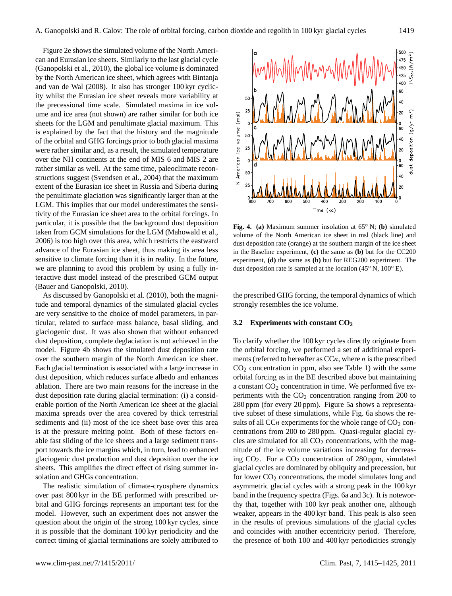Figure 2e shows the simulated volume of the North American and Eurasian ice sheets. Similarly to the last glacial cycle (Ganopolski et al., 2010), the global ice volume is dominated by the North American ice sheet, which agrees with Bintanja and van de Wal (2008). It also has stronger 100 kyr cyclicity whilst the Eurasian ice sheet reveals more variability at the precessional time scale. Simulated maxima in ice volume and ice area (not shown) are rather similar for both ice sheets for the LGM and penultimate glacial maximum. This is explained by the fact that the history and the magnitude of the orbital and GHG forcings prior to both glacial maxima were rather similar and, as a result, the simulated temperature over the NH continents at the end of MIS 6 and MIS 2 are rather similar as well. At the same time, paleoclimate reconstructions suggest (Svendsen et al., 2004) that the maximum extent of the Eurasian ice sheet in Russia and Siberia during the penultimate glaciation was significantly larger than at the LGM. This implies that our model underestimates the sensitivity of the Eurasian ice sheet area to the orbital forcings. In particular, it is possible that the background dust deposition taken from GCM simulations for the LGM (Mahowald et al., 2006) is too high over this area, which restricts the eastward advance of the Eurasian ice sheet, thus making its area less sensitive to climate forcing than it is in reality. In the future, we are planning to avoid this problem by using a fully interactive dust model instead of the prescribed GCM output (Bauer and Ganopolski, 2010).

As discussed by Ganopolski et al. (2010), both the magnitude and temporal dynamics of the simulated glacial cycles are very sensitive to the choice of model parameters, in particular, related to surface mass balance, basal sliding, and glaciogenic dust. It was also shown that without enhanced dust deposition, complete deglaciation is not achieved in the model. Figure 4b shows the simulated dust deposition rate over the southern margin of the North American ice sheet. Each glacial termination is associated with a large increase in dust deposition, which reduces surface albedo and enhances ablation. There are two main reasons for the increase in the dust deposition rate during glacial termination: (i) a considerable portion of the North American ice sheet at the glacial maxima spreads over the area covered by thick terrestrial sediments and (ii) most of the ice sheet base over this area is at the pressure melting point. Both of these factors enable fast sliding of the ice sheets and a large sediment transport towards the ice margins which, in turn, lead to enhanced glaciogenic dust production and dust deposition over the ice sheets. This amplifies the direct effect of rising summer insolation and GHGs concentration.

The realistic simulation of climate-cryosphere dynamics over past 800 kyr in the BE performed with prescribed orbital and GHG forcings represents an important test for the model. However, such an experiment does not answer the question about the origin of the strong 100 kyr cycles, since it is possible that the dominant 100 kyr periodicity and the correct timing of glacial terminations are solely attributed to



**Fig. 4. (a)** Maximum summer insolation at 65◦ N; **(b)** simulated volume of the North American ice sheet in msl (black line) and dust deposition rate (orange) at the southern margin of the ice sheet in the Baseline experiment, **(c)** the same as **(b)** but for the CC200 experiment, **(d)** the same as **(b)** but for REG200 experiment. The dust deposition rate is sampled at the location (45◦ N, 100◦ E).

the prescribed GHG forcing, the temporal dynamics of which strongly resembles the ice volume.

### **3.2 Experiments with constant CO<sup>2</sup>**

To clarify whether the 100 kyr cycles directly originate from the orbital forcing, we performed a set of additional experiments (referred to hereafter as  $CCn$ , where *n* is the prescribed  $CO<sub>2</sub>$  concentration in ppm, also see Table 1) with the same orbital forcing as in the BE described above but maintaining a constant  $CO<sub>2</sub>$  concentration in time. We performed five experiments with the  $CO<sub>2</sub>$  concentration ranging from 200 to 280 ppm (for every 20 ppm). Figure 5a shows a representative subset of these simulations, while Fig. 6a shows the results of all CCn experiments for the whole range of  $CO<sub>2</sub>$  concentrations from 200 to 280 ppm. Quasi-regular glacial cycles are simulated for all  $CO<sub>2</sub>$  concentrations, with the magnitude of the ice volume variations increasing for decreasing CO2. For a CO<sup>2</sup> concentration of 280 ppm, simulated glacial cycles are dominated by obliquity and precession, but for lower  $CO<sub>2</sub>$  concentrations, the model simulates long and asymmetric glacial cycles with a strong peak in the 100 kyr band in the frequency spectra (Figs. 6a and 3c). It is noteworthy that, together with 100 kyr peak another one, although weaker, appears in the 400 kyr band. This peak is also seen in the results of previous simulations of the glacial cycles and coincides with another eccentricity period. Therefore, the presence of both 100 and 400 kyr periodicities strongly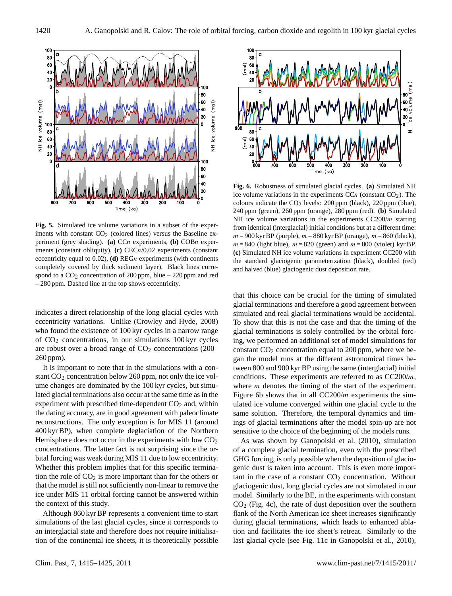

**Fig. 5.** Simulated ice volume variations in a subset of the experiments with constant  $CO<sub>2</sub>$  (colored lines) versus the Baseline experiment (grey shading). **(a)** CCn experiments, **(b)** COBn experiments (constant obliquity), **(c)** CECn/0.02 experiments (constant eccentricity equal to 0.02), **(d)** REGn experiments (with continents completely covered by thick sediment layer). Black lines correspond to a  $CO<sub>2</sub>$  concentration of 200 ppm, blue – 220 ppm and red – 280 ppm. Dashed line at the top shows eccentricity.

indicates a direct relationship of the long glacial cycles with eccentricity variations. Unlike (Crowley and Hyde, 2008) who found the existence of 100 kyr cycles in a narrow range of  $CO<sub>2</sub>$  concentrations, in our simulations 100 kyr cycles are robust over a broad range of  $CO<sub>2</sub>$  concentrations (200– 260 ppm).

It is important to note that in the simulations with a constant  $CO<sub>2</sub>$  concentration below 260 ppm, not only the ice volume changes are dominated by the 100 kyr cycles, but simulated glacial terminations also occur at the same time as in the experiment with prescribed time-dependent  $CO<sub>2</sub>$  and, within the dating accuracy, are in good agreement with paleoclimate reconstructions. The only exception is for MIS 11 (around 400 kyr BP), when complete deglaciation of the Northern Hemisphere does not occur in the experiments with low  $CO<sub>2</sub>$ concentrations. The latter fact is not surprising since the orbital forcing was weak during MIS 11 due to low eccentricity. Whether this problem implies that for this specific termination the role of  $CO<sub>2</sub>$  is more important than for the others or that the model is still not sufficiently non-linear to remove the ice under MIS 11 orbital forcing cannot be answered within the context of this study.

Although 860 kyr BP represents a convenient time to start simulations of the last glacial cycles, since it corresponds to an interglacial state and therefore does not require initialisation of the continental ice sheets, it is theoretically possible



**Fig. 6.** Robustness of simulated glacial cycles. **(a)** Simulated NH ice volume variations in the experiments  $CCn$  (constant  $CO<sub>2</sub>$ ). The colours indicate the  $CO<sub>2</sub>$  levels: 200 ppm (black), 220 ppm (blue), 240 ppm (green), 260 ppm (orange), 280 ppm (red). **(b)** Simulated NH ice volume variations in the experiments  $CC200/m$  starting from identical (interglacial) initial conditions but at a different time:  $m = 900$  kyr BP (purple),  $m = 880$  kyr BP (orange),  $m = 860$  (black),  $m = 840$  (light blue),  $m = 820$  (green) and  $m = 800$  (violet) kyr BP. **(c)** Simulated NH ice volume variations in experiment CC200 with the standard glaciogenic parameterization (black), doubled (red) and halved (blue) glaciogenic dust deposition rate.

that this choice can be crucial for the timing of simulated glacial terminations and therefore a good agreement between simulated and real glacial terminations would be accidental. To show that this is not the case and that the timing of the glacial terminations is solely controlled by the orbital forcing, we performed an additional set of model simulations for constant  $CO<sub>2</sub>$  concentration equal to 200 ppm, where we began the model runs at the different astronomical times between 800 and 900 kyr BP using the same (interglacial) initial conditions. These experiments are referred to as  $CC200/m$ , where *m* denotes the timing of the start of the experiment. Figure 6b shows that in all  $CC200/m$  experiments the simulated ice volume converged within one glacial cycle to the same solution. Therefore, the temporal dynamics and timings of glacial terminations after the model spin-up are not sensitive to the choice of the beginning of the models runs.

As was shown by Ganopolski et al. (2010), simulation of a complete glacial termination, even with the prescribed GHG forcing, is only possible when the deposition of glaciogenic dust is taken into account. This is even more important in the case of a constant  $CO<sub>2</sub>$  concentration. Without glaciogenic dust, long glacial cycles are not simulated in our model. Similarly to the BE, in the experiments with constant  $CO<sub>2</sub>$  (Fig. 4c), the rate of dust deposition over the southern flank of the North American ice sheet increases significantly during glacial terminations, which leads to enhanced ablation and facilitates the ice sheet's retreat. Similarly to the last glacial cycle (see Fig. 11c in Ganopolski et al., 2010),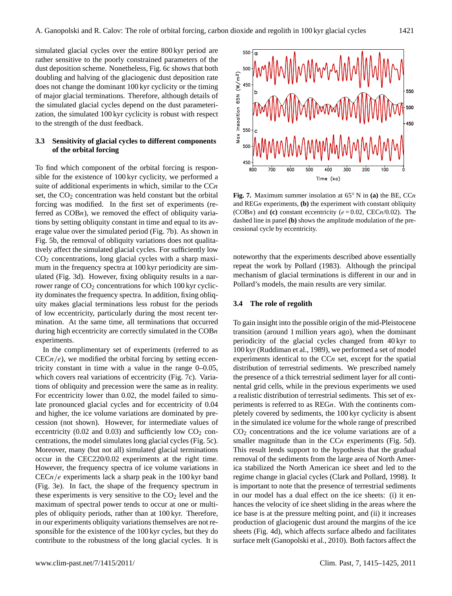simulated glacial cycles over the entire 800 kyr period are rather sensitive to the poorly constrained parameters of the dust deposition scheme. Nonetheless, Fig. 6c shows that both doubling and halving of the glaciogenic dust deposition rate does not change the dominant 100 kyr cyclicity or the timing of major glacial terminations. Therefore, although details of the simulated glacial cycles depend on the dust parameterization, the simulated 100 kyr cyclicity is robust with respect to the strength of the dust feedback.

# **3.3 Sensitivity of glacial cycles to different components of the orbital forcing**

To find which component of the orbital forcing is responsible for the existence of 100 kyr cyclicity, we performed a suite of additional experiments in which, similar to the  $CCn$ set, the  $CO<sub>2</sub>$  concentration was held constant but the orbital forcing was modified. In the first set of experiments (referred as  $COBn$ , we removed the effect of obliquity variations by setting obliquity constant in time and equal to its average value over the simulated period (Fig. 7b). As shown in Fig. 5b, the removal of obliquity variations does not qualitatively affect the simulated glacial cycles. For sufficiently low  $CO<sub>2</sub>$  concentrations, long glacial cycles with a sharp maximum in the frequency spectra at 100 kyr periodicity are simulated (Fig. 3d). However, fixing obliquity results in a narrower range of  $CO<sub>2</sub>$  concentrations for which 100 kyr cyclicity dominates the frequency spectra. In addition, fixing obliquity makes glacial terminations less robust for the periods of low eccentricity, particularly during the most recent termination. At the same time, all terminations that occurred during high eccentricity are correctly simulated in the COBn experiments.

In the complimentary set of experiments (referred to as  $CECn/e$ , we modified the orbital forcing by setting eccentricity constant in time with a value in the range  $0-0.05$ , which covers real variations of eccentricity (Fig. 7c). Variations of obliquity and precession were the same as in reality. For eccentricity lower than 0.02, the model failed to simulate pronounced glacial cycles and for eccentricity of 0.04 and higher, the ice volume variations are dominated by precession (not shown). However, for intermediate values of eccentricity (0.02 and 0.03) and sufficiently low  $CO<sub>2</sub>$  concentrations, the model simulates long glacial cycles (Fig. 5c). Moreover, many (but not all) simulated glacial terminations occur in the CEC220/0.02 experiments at the right time. However, the frequency spectra of ice volume variations in  $CECn/e$  experiments lack a sharp peak in the 100 kyr band (Fig. 3e). In fact, the shape of the frequency spectrum in these experiments is very sensitive to the  $CO<sub>2</sub>$  level and the maximum of spectral power tends to occur at one or multiples of obliquity periods, rather than at 100 kyr. Therefore, in our experiments obliquity variations themselves are not responsible for the existence of the 100 kyr cycles, but they do contribute to the robustness of the long glacial cycles. It is



**Fig. 7.** Maximum summer insolation at 65◦ N in **(a)** the BE, CCn and REGn experiments, **(b)** the experiment with constant obliquity (COBn) and **(c)** constant eccentricity ( $e = 0.02$ , CECn/0.02). The dashed line in panel **(b)** shows the amplitude modulation of the precessional cycle by eccentricity.

noteworthy that the experiments described above essentially repeat the work by Pollard (1983). Although the principal mechanism of glacial terminations is different in our and in Pollard's models, the main results are very similar.

## **3.4 The role of regolith**

To gain insight into the possible origin of the mid-Pleistocene transition (around 1 million years ago), when the dominant periodicity of the glacial cycles changed from 40 kyr to 100 kyr (Ruddiman et al., 1989), we performed a set of model experiments identical to the  $CCn$  set, except for the spatial distribution of terrestrial sediments. We prescribed namely the presence of a thick terrestrial sediment layer for all continental grid cells, while in the previous experiments we used a realistic distribution of terrestrial sediments. This set of experiments is referred to as REGn. With the continents completely covered by sediments, the 100 kyr cyclicity is absent in the simulated ice volume for the whole range of prescribed CO<sup>2</sup> concentrations and the ice volume variations are of a smaller magnitude than in the CCn experiments (Fig. 5d). This result lends support to the hypothesis that the gradual removal of the sediments from the large area of North America stabilized the North American ice sheet and led to the regime change in glacial cycles (Clark and Pollard, 1998). It is important to note that the presence of terrestrial sediments in our model has a dual effect on the ice sheets: (i) it enhances the velocity of ice sheet sliding in the areas where the ice base is at the pressure melting point, and (ii) it increases production of glaciogenic dust around the margins of the ice sheets (Fig. 4d), which affects surface albedo and facilitates surface melt (Ganopolski et al., 2010). Both factors affect the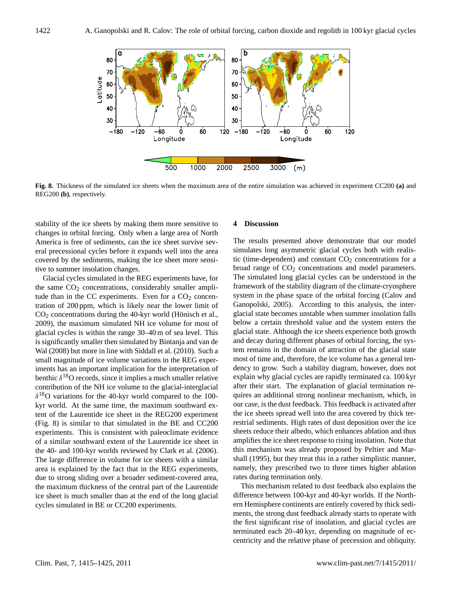

**Fig. 8.** Thickness of the simulated ice sheets when the maximum area of the entire simulation was achieved in experiment CC200 **(a)** and REG200 **(b)**, respectively.

stability of the ice sheets by making them more sensitive to changes in orbital forcing. Only when a large area of North America is free of sediments, can the ice sheet survive several precessional cycles before it expands well into the area covered by the sediments, making the ice sheet more sensitive to summer insolation changes.

Glacial cycles simulated in the REG experiments have, for the same  $CO<sub>2</sub>$  concentrations, considerably smaller amplitude than in the CC experiments. Even for a  $CO<sub>2</sub>$  concentration of 200 ppm, which is likely near the lower limit of  $CO<sub>2</sub>$  concentrations during the 40-kyr world (Hönisch et al., 2009), the maximum simulated NH ice volume for most of glacial cycles is within the range 30–40 m of sea level. This is significantly smaller then simulated by Bintanja and van de Wal (2008) but more in line with Siddall et al. (2010). Such a small magnitude of ice volume variations in the REG experiments has an important implication for the interpretation of benthic  $\delta^{18}$ O records, since it implies a much smaller relative contribution of the NH ice volume to the glacial-interglacial  $\delta^{18}$ O variations for the 40-kyr world compared to the 100kyr world. At the same time, the maximum southward extent of the Laurentide ice sheet in the REG200 experiment (Fig. 8) is similar to that simulated in the BE and CC200 experiments. This is consistent with paleoclimate evidence of a similar southward extent of the Laurentide ice sheet in the 40- and 100-kyr worlds reviewed by Clark et al. (2006). The large difference in volume for ice sheets with a similar area is explained by the fact that in the REG experiments, due to strong sliding over a broader sediment-covered area, the maximum thickness of the central part of the Laurentide ice sheet is much smaller than at the end of the long glacial cycles simulated in BE or CC200 experiments.

#### **4 Discussion**

The results presented above demonstrate that our model simulates long asymmetric glacial cycles both with realistic (time-dependent) and constant  $CO<sub>2</sub>$  concentrations for a broad range of  $CO<sub>2</sub>$  concentrations and model parameters. The simulated long glacial cycles can be understood in the framework of the stability diagram of the climate-cryosphere system in the phase space of the orbital forcing (Calov and Ganopolski, 2005). According to this analysis, the interglacial state becomes unstable when summer insolation falls below a certain threshold value and the system enters the glacial state. Although the ice sheets experience both growth and decay during different phases of orbital forcing, the system remains in the domain of attraction of the glacial state most of time and, therefore, the ice volume has a general tendency to grow. Such a stability diagram, however, does not explain why glacial cycles are rapidly terminated ca. 100 kyr after their start. The explanation of glacial termination requires an additional strong nonlinear mechanism, which, in our case, is the dust feedback. This feedback is activated after the ice sheets spread well into the area covered by thick terrestrial sediments. High rates of dust deposition over the ice sheets reduce their albedo, which enhances ablation and thus amplifies the ice sheet response to rising insolation. Note that this mechanism was already proposed by Peltier and Marshall (1995), but they treat this in a rather simplistic manner, namely, they prescribed two to three times higher ablation rates during termination only.

This mechanism related to dust feedback also explains the difference between 100-kyr and 40-kyr worlds. If the Northern Hemisphere continents are entirely covered by thick sediments, the strong dust feedback already starts to operate with the first significant rise of insolation, and glacial cycles are terminated each 20–40 kyr, depending on magnitude of eccentricity and the relative phase of precession and obliquity.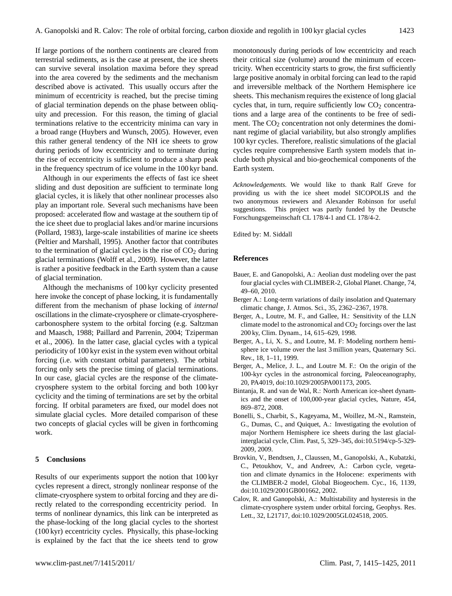If large portions of the northern continents are cleared from terrestrial sediments, as is the case at present, the ice sheets can survive several insolation maxima before they spread into the area covered by the sediments and the mechanism described above is activated. This usually occurs after the minimum of eccentricity is reached, but the precise timing of glacial termination depends on the phase between obliquity and precession. For this reason, the timing of glacial terminations relative to the eccentricity minima can vary in a broad range (Huybers and Wunsch, 2005). However, even this rather general tendency of the NH ice sheets to grow during periods of low eccentricity and to terminate during the rise of eccentricity is sufficient to produce a sharp peak in the frequency spectrum of ice volume in the 100 kyr band.

Although in our experiments the effects of fast ice sheet sliding and dust deposition are sufficient to terminate long glacial cycles, it is likely that other nonlinear processes also play an important role. Several such mechanisms have been proposed: accelerated flow and wastage at the southern tip of the ice sheet due to proglacial lakes and/or marine incursions (Pollard, 1983), large-scale instabilities of marine ice sheets (Peltier and Marshall, 1995). Another factor that contributes to the termination of glacial cycles is the rise of  $CO<sub>2</sub>$  during glacial terminations (Wolff et al., 2009). However, the latter is rather a positive feedback in the Earth system than a cause of glacial termination.

Although the mechanisms of 100 kyr cyclicity presented here invoke the concept of phase locking, it is fundamentally different from the mechanism of phase locking of *internal* oscillations in the climate-cryosphere or climate-cryospherecarbonosphere system to the orbital forcing (e.g. Saltzman and Maasch, 1988; Paillard and Parrenin, 2004; Tziperman et al., 2006). In the latter case, glacial cycles with a typical periodicity of 100 kyr exist in the system even without orbital forcing (i.e. with constant orbital parameters). The orbital forcing only sets the precise timing of glacial terminations. In our case, glacial cycles are the response of the climatecryosphere system to the orbital forcing and both 100 kyr cyclicity and the timing of terminations are set by the orbital forcing. If orbital parameters are fixed, our model does not simulate glacial cycles. More detailed comparison of these two concepts of glacial cycles will be given in forthcoming work.

#### **5 Conclusions**

Results of our experiments support the notion that 100 kyr cycles represent a direct, strongly nonlinear response of the climate-cryosphere system to orbital forcing and they are directly related to the corresponding eccentricity period. In terms of nonlinear dynamics, this link can be interpreted as the phase-locking of the long glacial cycles to the shortest (100 kyr) eccentricity cycles. Physically, this phase-locking is explained by the fact that the ice sheets tend to grow monotonously during periods of low eccentricity and reach their critical size (volume) around the minimum of eccentricity. When eccentricity starts to grow, the first sufficiently large positive anomaly in orbital forcing can lead to the rapid and irreversible meltback of the Northern Hemisphere ice sheets. This mechanism requires the existence of long glacial cycles that, in turn, require sufficiently low  $CO<sub>2</sub>$  concentrations and a large area of the continents to be free of sediment. The  $CO<sub>2</sub>$  concentration not only determines the dominant regime of glacial variability, but also strongly amplifies 100 kyr cycles. Therefore, realistic simulations of the glacial cycles require comprehensive Earth system models that include both physical and bio-geochemical components of the Earth system.

*Acknowledgements.* We would like to thank Ralf Greve for providing us with the ice sheet model SICOPOLIS and the two anonymous reviewers and Alexander Robinson for useful suggestions. This project was partly funded by the Deutsche Forschungsgemeinschaft CL 178/4-1 and CL 178/4-2.

Edited by: M. Siddall

#### **References**

- Bauer, E. and Ganopolski, A.: Aeolian dust modeling over the past four glacial cycles with CLIMBER-2, Global Planet. Change, 74, 49–60, 2010.
- Berger A.: Long-term variations of daily insolation and Quaternary climatic change, J. Atmos. Sci., 35, 2362–2367, 1978.
- Berger, A., Loutre, M. F., and Gallee, H.: Sensitivity of the LLN climate model to the astronomical and  $CO<sub>2</sub>$  forcings over the last 200 ky, Clim. Dynam., 14, 615–629, 1998.
- Berger, A., Li, X. S., and Loutre, M. F: Modeling northern hemisphere ice volume over the last 3 million years, Quaternary Sci. Rev., 18, 1–11, 1999.
- Berger, A., Melice, J. L., and Loutre M. F.: On the origin of the 100-kyr cycles in the astronomical forcing, Paleoceanography, 20, PA4019, [doi:10.1029/2005PA001173,](http://dx.doi.org/10.1029/2005PA001173) 2005.
- Bintanja, R. and van de Wal, R.: North American ice-sheet dynamics and the onset of 100,000-year glacial cycles, Nature, 454, 869–872, 2008.
- Bonelli, S., Charbit, S., Kageyama, M., Woillez, M.-N., Ramstein, G., Dumas, C., and Quiquet, A.: Investigating the evolution of major Northern Hemisphere ice sheets during the last glacialinterglacial cycle, Clim. Past, 5, 329–345, [doi:10.5194/cp-5-329-](http://dx.doi.org/10.5194/cp-5-329-2009) [2009,](http://dx.doi.org/10.5194/cp-5-329-2009) 2009.
- Brovkin, V., Bendtsen, J., Claussen, M., Ganopolski, A., Kubatzki, C., Petoukhov, V., and Andreev, A.: Carbon cycle, vegetation and climate dynamics in the Holocene: experiments with the CLIMBER-2 model, Global Biogeochem. Cyc., 16, 1139, [doi:10.1029/2001GB001662,](http://dx.doi.org/10.1029/2001GB001662) 2002.
- Calov, R. and Ganopolski, A.: Multistability and hysteresis in the climate-cryosphere system under orbital forcing, Geophys. Res. Lett., 32, L21717, [doi:10.1029/2005GL024518,](http://dx.doi.org/10.1029/2005GL024518) 2005.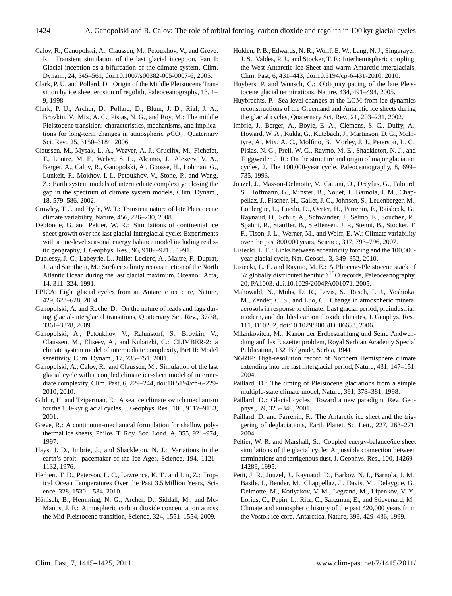- Calov, R., Ganopolski, A., Claussen, M., Petoukhov, V., and Greve. R.: Transient simulation of the last glacial inception, Part I: Glacial inception as a bifurcation of the climate system, Clim. Dynam., 24, 545–561, [doi:10.1007/s00382-005-0007-6,](http://dx.doi.org/10.1007/s00382-005-0007-6) 2005.
- Clark, P. U. and Pollard, D.: Origin of the Middle Pleistocene Transition by ice sheet erosion of regolith, Paleoceanography, 13, 1– 9, 1998.
- Clark, P. U., Archer, D., Pollard, D., Blum, J. D., Rial, J. A., Brovkin, V., Mix, A. C., Pisias, N. G., and Roy, M.: The middle Pleistocene transition: characteristics, mechanisms, and implications for long-term changes in atmospheric  $pCO<sub>2</sub>$ , Quaternary Sci. Rev., 25, 3150–3184, 2006.
- Claussen, M., Mysak, L. A., Weaver, A. J., Crucifix, M., Fichefet, T., Loutre, M. F., Weber, S. L., Alcamo, J., Alexeev, V. A., Berger, A., Calov, R., Ganopolski, A., Goosse, H., Lohman, G., Lunkeit, F., Mokhov, I. I., Petoukhov, V., Stone, P., and Wang, Z.: Earth system models of intermediate complexity: closing the gap in the spectrum of climate system models, Clim. Dynam., 18, 579–586, 2002.
- Crowley, T. J. and Hyde, W. T.: Transient nature of late Pleistocene climate variability, Nature, 456, 226–230, 2008.
- Deblonde, G. and Peltier, W. R.: Simulations of continental ice sheet growth over the last glacial-interglacial cycle: Experiments with a one-level seasonal energy balance model including realistic geography, J. Geophys. Res., 96, 9189–9215, 1991.
- Duplessy, J.-C., Labeyrie, L., Juillet-Leclerc, A., Maitre, F., Duprat, J., and Sarnthein, M.: Surface salinity reconstruction of the North Atlantic Ocean during the last glacial maximum, Oceanol. Acta, 14, 311–324, 1991.
- EPICA: Eight glacial cycles from an Antarctic ice core, Nature, 429, 623–628, 2004.
- Ganopolski, A. and Roche, D.: On the nature of leads and lags during glacial-interglacial transitions, Quaternary Sci. Rev., 37/38, 3361–3378, 2009.
- Ganopolski, A., Petoukhov, V., Rahmstorf, S., Brovkin, V., Claussen, M., Eliseev, A., and Kubatzki, C.: CLIMBER-2: a climate system model of intermediate complexity, Part II: Model sensitivity, Clim. Dynam., 17, 735–751, 2001.
- Ganopolski, A., Calov, R., and Claussen, M.: Simulation of the last glacial cycle with a coupled climate ice-sheet model of intermediate complexity, Clim. Past, 6, 229–244, [doi:10.5194/cp-6-229-](http://dx.doi.org/10.5194/cp-6-229-2010) [2010,](http://dx.doi.org/10.5194/cp-6-229-2010) 2010.
- Gildor, H. and Tziperman, E.: A sea ice climate switch mechanism for the 100-kyr glacial cycles, J. Geophys. Res., 106, 9117–9133, 2001.
- Greve, R.: A continuum-mechanical formulation for shallow polythermal ice sheets, Philos. T. Roy. Soc. Lond. A, 355, 921–974, 1997.
- Hays, J. D., Imbrie, J., and Shackleton, N. J.: Variations in the earth's orbit: pacemaker of the Ice Ages, Science, 194, 1121– 1132, 1976.
- Herbert, T. D., Peterson, L. C., Lawrence, K. T., and Liu, Z.: Tropical Ocean Temperatures Over the Past 3.5 Million Years, Science, 328, 1530–1534, 2010.
- Hönisch, B., Hemming, N. G., Archer, D., Siddall, M., and Mc-Manus, J. F.: Atmospheric carbon dioxide concentration across the Mid-Pleistocene transition, Science, 324, 1551–1554, 2009.
- Holden, P. B., Edwards, N. R., Wolff, E. W., Lang, N. J., Singarayer, J. S., Valdes, P. J., and Stocker, T. F.: Interhemispheric coupling, the West Antarctic Ice Sheet and warm Antarctic interglacials, Clim. Past, 6, 431–443, [doi:10.5194/cp-6-431-2010,](http://dx.doi.org/10.5194/cp-6-431-2010) 2010.
- Huybers, P. and Wunsch, C.: Obliquity pacing of the late Pleistocene glacial terminations, Nature, 434, 491–494, 2005.
- Huybrechts, P.: Sea-level changes at the LGM from ice-dynamics reconstructions of the Greenland and Antarctic ice sheets during the glacial cycles, Quaternary Sci. Rev., 21, 203–231, 2002.
- Imbrie, J., Berger, A., Boyle, E. A., Clemens, S. C., Duffy, A., Howard, W. A., Kukla, G., Kutzbach, J., Martinson, D. G., McIntyre, A., Mix, A. C., Molfino, B., Morley, J. J., Peterson, L. C., Pisias, N. G., Prell, W. G., Raymo, M. E., Shackleton, N. J., and Toggweiler, J. R.: On the structure and origin of major glaciation cycles, 2. The 100,000-year cycle, Paleoceanography, 8, 699– 735, 1993.
- Jouzel, J., Masson-Delmotte, V., Cattani, O., Dreyfus, G., Falourd, S., Hoffmann, G., Minster, B., Nouet, J., Barnola, J. M., Chappellaz, J., Fischer, H., Gallet, J. C., Johnsen, S., Leuenberger, M., Loulergue, L., Luethi, D., Oerter, H., Parrenin, F., Raisbeck, G., Raynaud, D., Schilt, A., Schwander, J., Selmo, E., Souchez, R., Spahni, R., Stauffer, B., Steffensen, J. P., Stenni, B., Stocker, T. F., Tison, J. L., Werner, M., and Wolff, E. W.: Climate variability over the past 800 000 years, Science, 317, 793–796, 2007.
- Lisiecki, L. E.: Links between eccentricity forcing and the 100,000 year glacial cycle, Nat. Geosci., 3, 349–352, 2010.
- Lisiecki, L. E. and Raymo, M. E.: A Pliocene-Pleistocene stack of 57 globally distributed benthic  $\delta^{18}O$  records, Paleoceanography, 20, PA1003, [doi:10.1029/2004PA001071,](http://dx.doi.org/10.1029/2004PA001071) 2005.
- Mahowald, N., Muhs, D. R., Levis, S., Rasch, P. J., Yoshioka, M., Zender, C. S., and Luo, C.: Change in atmospheric mineral aerosols in response to climate: Last glacial period, preindustrial, modern, and doubled carbon dioxide climates, J. Geophys. Res., 111, D10202, [doi:10.1029/2005JD006653,](http://dx.doi.org/10.1029/2005JD006653) 2006.
- Milankovitch, M.: Kanon der Erdbestrahlung und Seine Andwendung auf das Eiszeitenproblem, Royal Serbian Academy Special Publication, 132, Belgrade, Serbia, 1941.
- NGRIP: High-resolution record of Northern Hemisphere climate extending into the last interglacial period, Nature, 431, 147–151, 2004.
- Paillard, D.: The timing of Pleistocene glaciations from a simple multiple-state climate model, Nature, 391, 378–381, 1998.
- Paillard, D.: Glacial cycles: Toward a new paradigm, Rev. Geophys., 39, 325–346, 2001.
- Paillard, D. and Parrenin, F.: The Antarctic ice sheet and the triggering of deglaciations, Earth Planet. Sc. Lett., 227, 263–271, 2004.
- Peltier, W. R. and Marshall, S.: Coupled energy-balance/ice sheet simulations of the glacial cycle: A possible connection between terminations and terrigenous dust, J. Geophys. Res., 100, 14269– 14289, 1995.
- Petit, J. R., Jouzel, J., Raynaud, D., Barkov, N. I., Barnola, J. M., Basile, I., Bender, M., Chappellaz, J., Davis, M., Delaygue, G., Delmotte, M., Kotlyakov, V. M., Legrand, M., Lipenkov, V. Y., Lorius, C., Pepin, L., Ritz, C., Saltzman, E., and Stievenard, M.: Climate and atmospheric history of the past 420,000 years from the Vostok ice core, Antarctica, Nature, 399, 429–436, 1999.